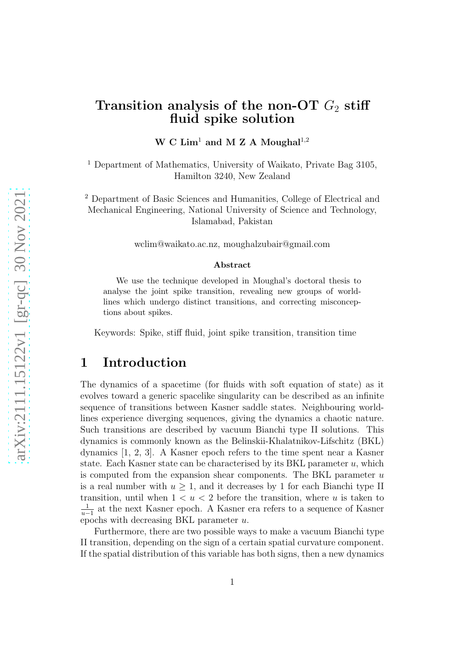### Transition analysis of the non-OT  $G_2$  stiff fluid spike solution

W C  $Lim<sup>1</sup>$  and M Z A Moughal<sup>1,2</sup>

<sup>1</sup> Department of Mathematics, University of Waikato, Private Bag 3105, Hamilton 3240, New Zealand

<sup>2</sup> Department of Basic Sciences and Humanities, College of Electrical and Mechanical Engineering, National University of Science and Technology, Islamabad, Pakistan

wclim@waikato.ac.nz, moughalzubair@gmail.com

#### Abstract

We use the technique developed in Moughal's doctoral thesis to analyse the joint spike transition, revealing new groups of worldlines which undergo distinct transitions, and correcting misconceptions about spikes.

Keywords: Spike, stiff fluid, joint spike transition, transition time

### 1 Introduction

The dynamics of a spacetime (for fluids with soft equation of state) as it evolves toward a generic spacelike singularity can be described as an infinite sequence of transitions between Kasner saddle states. Neighbouring worldlines experience diverging sequences, giving the dynamics a chaotic nature. Such transitions are described by vacuum Bianchi type II solutions. This dynamics is commonly known as the Belinskii-Khalatnikov-Lifschitz (BKL) dynamics [1, 2, 3]. A Kasner epoch refers to the time spent near a Kasner state. Each Kasner state can be characterised by its BKL parameter  $u$ , which is computed from the expansion shear components. The BKL parameter  $u$ is a real number with  $u > 1$ , and it decreases by 1 for each Bianchi type II transition, until when  $1 < u < 2$  before the transition, where u is taken to 1  $\frac{1}{u-1}$  at the next Kasner epoch. A Kasner era refers to a sequence of Kasner epochs with decreasing BKL parameter u.

Furthermore, there are two possible ways to make a vacuum Bianchi type II transition, depending on the sign of a certain spatial curvature component. If the spatial distribution of this variable has both signs, then a new dynamics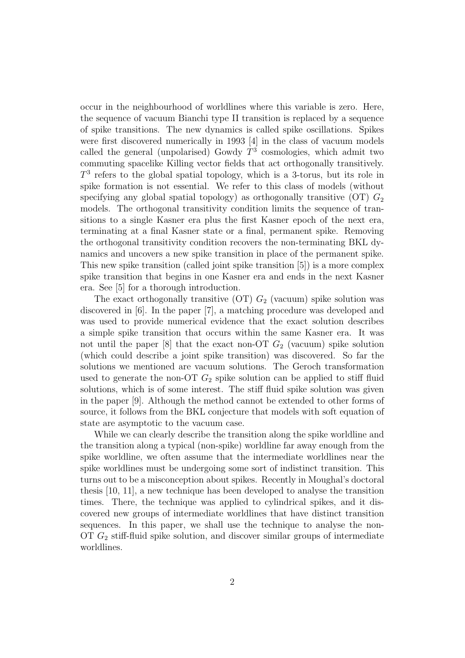occur in the neighbourhood of worldlines where this variable is zero. Here, the sequence of vacuum Bianchi type II transition is replaced by a sequence of spike transitions. The new dynamics is called spike oscillations. Spikes were first discovered numerically in 1993 [4] in the class of vacuum models called the general (unpolarised) Gowdy  $T^3$  cosmologies, which admit two commuting spacelike Killing vector fields that act orthogonally transitively.  $T<sup>3</sup>$  refers to the global spatial topology, which is a 3-torus, but its role in spike formation is not essential. We refer to this class of models (without specifying any global spatial topology) as orthogonally transitive  $(OT)$   $G_2$ models. The orthogonal transitivity condition limits the sequence of transitions to a single Kasner era plus the first Kasner epoch of the next era, terminating at a final Kasner state or a final, permanent spike. Removing the orthogonal transitivity condition recovers the non-terminating BKL dynamics and uncovers a new spike transition in place of the permanent spike. This new spike transition (called joint spike transition [5]) is a more complex spike transition that begins in one Kasner era and ends in the next Kasner era. See [5] for a thorough introduction.

The exact orthogonally transitive  $(OT)$   $G_2$  (vacuum) spike solution was discovered in [6]. In the paper [7], a matching procedure was developed and was used to provide numerical evidence that the exact solution describes a simple spike transition that occurs within the same Kasner era. It was not until the paper [8] that the exact non-OT  $G_2$  (vacuum) spike solution (which could describe a joint spike transition) was discovered. So far the solutions we mentioned are vacuum solutions. The Geroch transformation used to generate the non-OT  $G_2$  spike solution can be applied to stiff fluid solutions, which is of some interest. The stiff fluid spike solution was given in the paper [9]. Although the method cannot be extended to other forms of source, it follows from the BKL conjecture that models with soft equation of state are asymptotic to the vacuum case.

While we can clearly describe the transition along the spike worldline and the transition along a typical (non-spike) worldline far away enough from the spike worldline, we often assume that the intermediate worldlines near the spike worldlines must be undergoing some sort of indistinct transition. This turns out to be a misconception about spikes. Recently in Moughal's doctoral thesis [10, 11], a new technique has been developed to analyse the transition times. There, the technique was applied to cylindrical spikes, and it discovered new groups of intermediate worldlines that have distinct transition sequences. In this paper, we shall use the technique to analyse the non-OT  $G_2$  stiff-fluid spike solution, and discover similar groups of intermediate worldlines.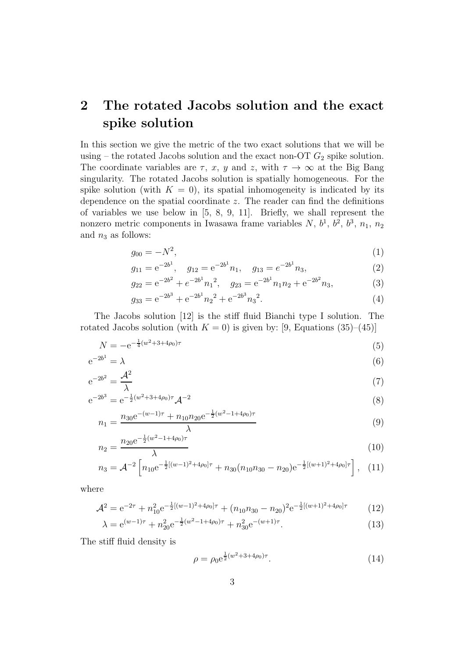# 2 The rotated Jacobs solution and the exact spike solution

In this section we give the metric of the two exact solutions that we will be using – the rotated Jacobs solution and the exact non-OT  $G_2$  spike solution. The coordinate variables are  $\tau$ , x, y and z, with  $\tau \to \infty$  at the Big Bang singularity. The rotated Jacobs solution is spatially homogeneous. For the spike solution (with  $K = 0$ ), its spatial inhomogeneity is indicated by its dependence on the spatial coordinate z. The reader can find the definitions of variables we use below in [5, 8, 9, 11]. Briefly, we shall represent the nonzero metric components in Iwasawa frame variables  $N, b<sup>1</sup>, b<sup>2</sup>, b<sup>3</sup>, n<sub>1</sub>, n<sub>2</sub>$ and  $n_3$  as follows:

$$
g_{00} = -N^2,\t\t(1)
$$

$$
g_{11} = e^{-2b^1}, \quad g_{12} = e^{-2b^1}n_1, \quad g_{13} = e^{-2b^1}n_3,
$$
 (2)

$$
g_{22} = e^{-2b^2} + e^{-2b^1} n_1^2, \quad g_{23} = e^{-2b^1} n_1 n_2 + e^{-2b^2} n_3,
$$
 (3)

$$
g_{33} = e^{-2b^3} + e^{-2b^1} n_2^2 + e^{-2b^3} n_3^2.
$$
 (4)

The Jacobs solution [12] is the stiff fluid Bianchi type I solution. The rotated Jacobs solution (with  $K = 0$ ) is given by: [9, Equations (35)–(45)]

$$
N = -e^{-\frac{1}{4}(w^2 + 3 + 4\rho_0)\tau}
$$
\n(5)

$$
e^{-2b^1} = \lambda \tag{6}
$$

$$
e^{-2b^2} = \frac{\mathcal{A}^2}{\lambda} \tag{7}
$$

$$
e^{-2b^3} = e^{-\frac{1}{2}(w^2 + 3 + 4\rho_0)\tau} \mathcal{A}^{-2}
$$
\n(8)

$$
n_1 = \frac{n_{30}e^{-(w-1)\tau} + n_{10}n_{20}e^{-\frac{1}{2}(w^2 - 1 + 4\rho_0)\tau}}{\lambda}
$$
\n(9)

$$
n_2 = \frac{n_{20}e^{-\frac{1}{2}(w^2 - 1 + 4\rho_0)\tau}}{\lambda} \tag{10}
$$

$$
n_3 = \mathcal{A}^{-2} \left[ n_{10} e^{-\frac{1}{2}[(w-1)^2 + 4\rho_0]\tau} + n_{30} (n_{10}n_{30} - n_{20}) e^{-\frac{1}{2}[(w+1)^2 + 4\rho_0]\tau} \right], \quad (11)
$$

where

$$
\mathcal{A}^2 = e^{-2\tau} + n_{10}^2 e^{-\frac{1}{2}[(w-1)^2 + 4\rho_0]\tau} + (n_{10}n_{30} - n_{20})^2 e^{-\frac{1}{2}[(w+1)^2 + 4\rho_0]\tau}
$$
(12)

$$
\lambda = e^{(w-1)\tau} + n_{20}^2 e^{-\frac{1}{2}(w^2 - 1 + 4\rho_0)\tau} + n_{30}^2 e^{-(w+1)\tau}.
$$
\n(13)

The stiff fluid density is

$$
\rho = \rho_0 e^{\frac{1}{2}(w^2 + 3 + 4\rho_0)\tau}.
$$
\n(14)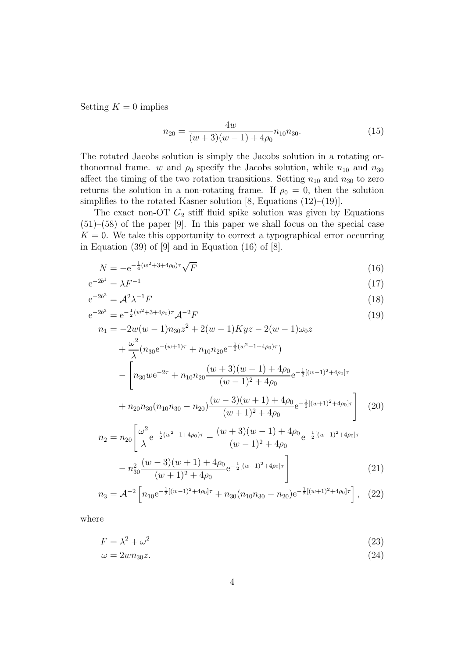Setting  $K = 0$  implies

$$
n_{20} = \frac{4w}{(w+3)(w-1) + 4\rho_0} n_{10} n_{30}.
$$
 (15)

The rotated Jacobs solution is simply the Jacobs solution in a rotating orthonormal frame. w and  $\rho_0$  specify the Jacobs solution, while  $n_{10}$  and  $n_{30}$ affect the timing of the two rotation transitions. Setting  $n_{10}$  and  $n_{30}$  to zero returns the solution in a non-rotating frame. If  $\rho_0 = 0$ , then the solution simplifies to the rotated Kasner solution [8, Equations  $(12)$ – $(19)$ ].

The exact non-OT  $G_2$  stiff fluid spike solution was given by Equations (51)–(58) of the paper [9]. In this paper we shall focus on the special case  $K = 0$ . We take this opportunity to correct a typographical error occurring in Equation  $(39)$  of  $[9]$  and in Equation  $(16)$  of  $[8]$ .

$$
N = -e^{-\frac{1}{4}(w^2 + 3 + 4\rho_0)\tau} \sqrt{F}
$$
\n(16)

$$
e^{-2b^1} = \lambda F^{-1} \tag{17}
$$

$$
e^{-2b^2} = \mathcal{A}^2 \lambda^{-1} F \tag{18}
$$

$$
e^{-2b^3} = e^{-\frac{1}{2}(w^2 + 3 + 4\rho_0)\tau} \mathcal{A}^{-2} F
$$
\n(19)

$$
n_1 = -2w(w-1)n_{30}z^2 + 2(w-1)Kyz - 2(w-1)\omega_0z
$$
  
+  $\frac{\omega^2}{\lambda}(n_{30}e^{-(w+1)\tau} + n_{10}n_{20}e^{-\frac{1}{2}(w^2-1+4\rho_0)\tau})$   
-  $\left[n_{30}we^{-2\tau} + n_{10}n_{20}\frac{(w+3)(w-1) + 4\rho_0}{(w-1)^2 + 4\rho_0}e^{-\frac{1}{2}[(w-1)^2+4\rho_0]\tau}\right]$   
 $(w-3)(w+1) + 4\rho_0$ 

$$
+ n_{20}n_{30}(n_{10}n_{30} - n_{20})\frac{(w-3)(w+1) + 4\rho_0}{(w+1)^2 + 4\rho_0} e^{-\frac{1}{2}[(w+1)^2 + 4\rho_0]\tau} \qquad (20)
$$

$$
n_2 = n_{20} \left[ \frac{\omega^2}{\lambda} e^{-\frac{1}{2}(w^2 - 1 + 4\rho_0)\tau} - \frac{(w+3)(w-1) + 4\rho_0}{(w-1)^2 + 4\rho_0} e^{-\frac{1}{2}[(w-1)^2 + 4\rho_0]\tau} - n_{30}^2 \frac{(w-3)(w+1) + 4\rho_0}{(w+1)^2 + 4\rho_0} e^{-\frac{1}{2}[(w+1)^2 + 4\rho_0]\tau} \right]
$$
(21)

$$
n_3 = \mathcal{A}^{-2} \left[ n_{10} e^{-\frac{1}{2}[(w-1)^2 + 4\rho_0]\tau} + n_{30} (n_{10}n_{30} - n_{20}) e^{-\frac{1}{2}[(w+1)^2 + 4\rho_0]\tau} \right], \quad (22)
$$

where

$$
F = \lambda^2 + \omega^2 \tag{23}
$$

$$
\omega = 2w n_{30} z. \tag{24}
$$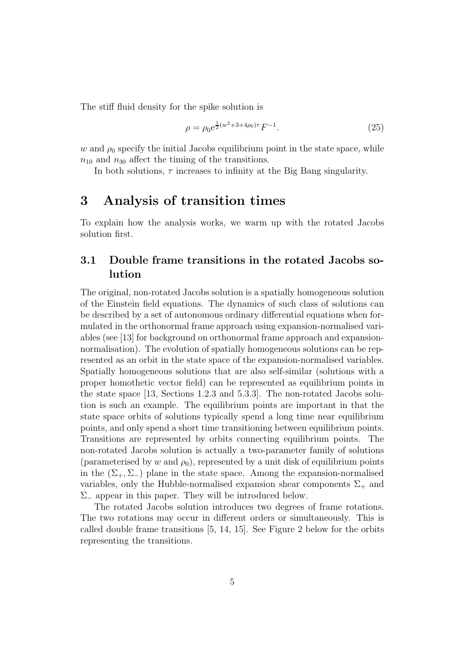The stiff fluid density for the spike solution is

$$
\rho = \rho_0 e^{\frac{1}{2}(w^2 + 3 + 4\rho_0)\tau} F^{-1}.
$$
\n(25)

 $w$  and  $\rho_0$  specify the initial Jacobs equilibrium point in the state space, while  $n_{10}$  and  $n_{30}$  affect the timing of the transitions.

In both solutions,  $\tau$  increases to infinity at the Big Bang singularity.

### 3 Analysis of transition times

To explain how the analysis works, we warm up with the rotated Jacobs solution first.

### 3.1 Double frame transitions in the rotated Jacobs solution

The original, non-rotated Jacobs solution is a spatially homogeneous solution of the Einstein field equations. The dynamics of such class of solutions can be described by a set of autonomous ordinary differential equations when formulated in the orthonormal frame approach using expansion-normalised variables (see [13] for background on orthonormal frame approach and expansionnormalisation). The evolution of spatially homogeneous solutions can be represented as an orbit in the state space of the expansion-normalised variables. Spatially homogeneous solutions that are also self-similar (solutions with a proper homothetic vector field) can be represented as equilibrium points in the state space [13, Sections 1.2.3 and 5.3.3]. The non-rotated Jacobs solution is such an example. The equilibrium points are important in that the state space orbits of solutions typically spend a long time near equilibrium points, and only spend a short time transitioning between equilibrium points. Transitions are represented by orbits connecting equilibrium points. The non-rotated Jacobs solution is actually a two-parameter family of solutions (parameterised by w and  $\rho_0$ ), represented by a unit disk of equilibrium points in the  $(\Sigma_+, \Sigma_-)$  plane in the state space. Among the expansion-normalised variables, only the Hubble-normalised expansion shear components  $\Sigma_{+}$  and Σ<sup>−</sup> appear in this paper. They will be introduced below.

The rotated Jacobs solution introduces two degrees of frame rotations. The two rotations may occur in different orders or simultaneously. This is called double frame transitions [5, 14, 15]. See Figure 2 below for the orbits representing the transitions.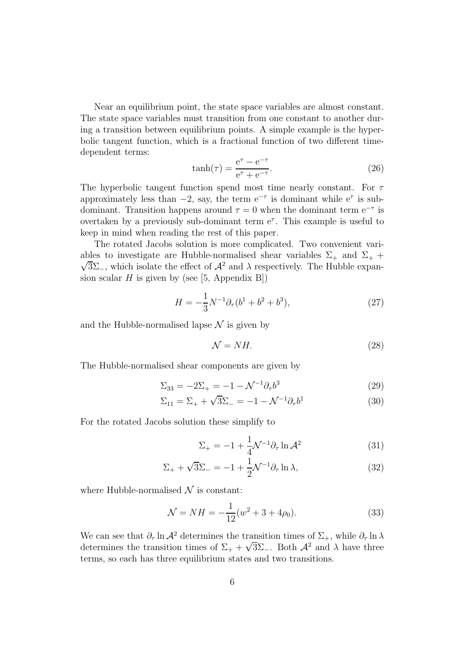Near an equilibrium point, the state space variables are almost constant. The state space variables must transition from one constant to another during a transition between equilibrium points. A simple example is the hyperbolic tangent function, which is a fractional function of two different timedependent terms:

$$
\tanh(\tau) = \frac{e^{\tau} - e^{-\tau}}{e^{\tau} + e^{-\tau}}.
$$
\n(26)

The hyperbolic tangent function spend most time nearly constant. For  $\tau$ approximately less than  $-2$ , say, the term  $e^{-\tau}$  is dominant while  $e^{\tau}$  is subdominant. Transition happens around  $\tau = 0$  when the dominant term  $e^{-\tau}$  is overtaken by a previously sub-dominant term  $e^{\tau}$ . This example is useful to keep in mind when reading the rest of this paper.

The rotated Jacobs solution is more complicated. Two convenient vari-  $\sqrt{3}\Sigma_{-}$ , which isolate the effect of  $\mathcal{A}^2$  and  $\lambda$  respectively. The Hubble expanables to investigate are Hubble-normalised shear variables  $\Sigma_{+}$  and  $\Sigma_{+}$  + sion scalar  $H$  is given by (see [5, Appendix B])

$$
H = -\frac{1}{3}N^{-1}\partial_{\tau}(b^1 + b^2 + b^3),\tag{27}
$$

and the Hubble-normalised lapse  $\mathcal N$  is given by

$$
\mathcal{N} = NH. \tag{28}
$$

The Hubble-normalised shear components are given by

$$
\Sigma_{33} = -2\Sigma_+ = -1 - \mathcal{N}^{-1} \partial_\tau b^3 \tag{29}
$$

$$
\Sigma_{11} = \Sigma_{+} + \sqrt{3}\Sigma_{-} = -1 - \mathcal{N}^{-1}\partial_{\tau}b^{1}
$$
 (30)

For the rotated Jacobs solution these simplify to

$$
\Sigma_{+} = -1 + \frac{1}{4} \mathcal{N}^{-1} \partial_{\tau} \ln \mathcal{A}^{2}
$$
 (31)

$$
\Sigma_{+} + \sqrt{3}\Sigma_{-} = -1 + \frac{1}{2}\mathcal{N}^{-1}\partial_{\tau}\ln\lambda,
$$
\n(32)

where Hubble-normalised  $\mathcal N$  is constant:

$$
\mathcal{N} = NH = -\frac{1}{12}(w^2 + 3 + 4\rho_0). \tag{33}
$$

We can see that  $\partial_{\tau} \ln A^2$  determines the transition times of  $\Sigma_{+}$ , while  $\partial_{\tau} \ln \lambda$ determines the transition times of  $\Sigma_+ + \sqrt{3}\Sigma_-$ . Both  $\mathcal{A}^2$  and  $\lambda$  have three terms, so each has three equilibrium states and two transitions.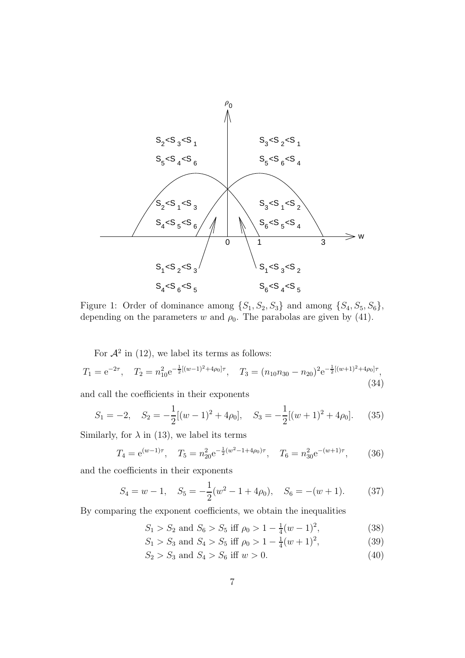

Figure 1: Order of dominance among  $\{S_1, S_2, S_3\}$  and among  $\{S_4, S_5, S_6\}$ , depending on the parameters w and  $\rho_0$ . The parabolas are given by (41).

For  $\mathcal{A}^2$  in (12), we label its terms as follows:

$$
T_1 = e^{-2\tau}, \quad T_2 = n_{10}^2 e^{-\frac{1}{2}[(w-1)^2 + 4\rho_0]\tau}, \quad T_3 = (n_{10}n_{30} - n_{20})^2 e^{-\frac{1}{2}[(w+1)^2 + 4\rho_0]\tau}, \tag{34}
$$

and call the coefficients in their exponents

$$
S_1 = -2, \quad S_2 = -\frac{1}{2}[(w-1)^2 + 4\rho_0], \quad S_3 = -\frac{1}{2}[(w+1)^2 + 4\rho_0]. \tag{35}
$$

Similarly, for  $\lambda$  in (13), we label its terms

$$
T_4 = e^{(w-1)\tau}
$$
,  $T_5 = n_{20}^2 e^{-\frac{1}{2}(w^2 - 1 + 4\rho_0)\tau}$ ,  $T_6 = n_{30}^2 e^{-(w+1)\tau}$ , (36)

and the coefficients in their exponents

$$
S_4 = w - 1
$$
,  $S_5 = -\frac{1}{2}(w^2 - 1 + 4\rho_0)$ ,  $S_6 = -(w + 1)$ . (37)

By comparing the exponent coefficients, we obtain the inequalities

$$
S_1 > S_2
$$
 and  $S_6 > S_5$  iff  $\rho_0 > 1 - \frac{1}{4}(w - 1)^2$ , (38)

$$
S_1 > S_3
$$
 and  $S_4 > S_5$  iff  $\rho_0 > 1 - \frac{1}{4}(w+1)^2$ , (39)

 $S_2 > S_3$  and  $S_4 > S_6$  iff  $w > 0$ . (40)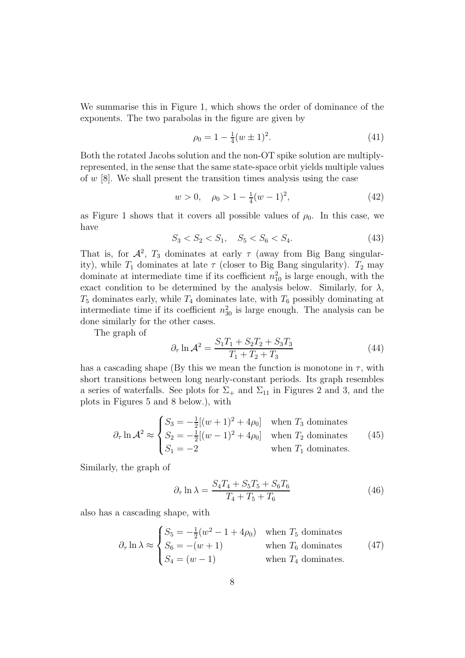We summarise this in Figure 1, which shows the order of dominance of the exponents. The two parabolas in the figure are given by

$$
\rho_0 = 1 - \frac{1}{4}(w \pm 1)^2. \tag{41}
$$

Both the rotated Jacobs solution and the non-OT spike solution are multiplyrepresented, in the sense that the same state-space orbit yields multiple values of  $w$  [8]. We shall present the transition times analysis using the case

$$
w > 0, \quad \rho_0 > 1 - \frac{1}{4}(w - 1)^2,\tag{42}
$$

as Figure 1 shows that it covers all possible values of  $\rho_0$ . In this case, we have

$$
S_3 < S_2 < S_1, \quad S_5 < S_6 < S_4. \tag{43}
$$

That is, for  $\mathcal{A}^2$ ,  $T_3$  dominates at early  $\tau$  (away from Big Bang singularity), while  $T_1$  dominates at late  $\tau$  (closer to Big Bang singularity).  $T_2$  may dominate at intermediate time if its coefficient  $n_{10}^2$  is large enough, with the exact condition to be determined by the analysis below. Similarly, for  $\lambda$ ,  $T_5$  dominates early, while  $T_4$  dominates late, with  $T_6$  possibly dominating at intermediate time if its coefficient  $n_{30}^2$  is large enough. The analysis can be done similarly for the other cases.

The graph of

$$
\partial_{\tau} \ln \mathcal{A}^2 = \frac{S_1 T_1 + S_2 T_2 + S_3 T_3}{T_1 + T_2 + T_3} \tag{44}
$$

has a cascading shape (By this we mean the function is monotone in  $\tau$ , with short transitions between long nearly-constant periods. Its graph resembles a series of waterfalls. See plots for  $\Sigma_{+}$  and  $\Sigma_{11}$  in Figures 2 and 3, and the plots in Figures 5 and 8 below.), with

$$
\partial_{\tau} \ln \mathcal{A}^2 \approx \begin{cases} S_3 = -\frac{1}{2} [(w+1)^2 + 4\rho_0] & \text{when } T_3 \text{ dominates} \\ S_2 = -\frac{1}{2} [(w-1)^2 + 4\rho_0] & \text{when } T_2 \text{ dominates} \\ S_1 = -2 & \text{when } T_1 \text{ dominates.} \end{cases} (45)
$$

Similarly, the graph of

$$
\partial_{\tau} \ln \lambda = \frac{S_4 T_4 + S_5 T_5 + S_6 T_6}{T_4 + T_5 + T_6} \tag{46}
$$

also has a cascading shape, with

$$
\partial_{\tau} \ln \lambda \approx \begin{cases} S_5 = -\frac{1}{2}(w^2 - 1 + 4\rho_0) & \text{when } T_5 \text{ dominates} \\ S_6 = -(w+1) & \text{when } T_6 \text{ dominates} \\ S_4 = (w-1) & \text{when } T_4 \text{ dominates.} \end{cases} (47)
$$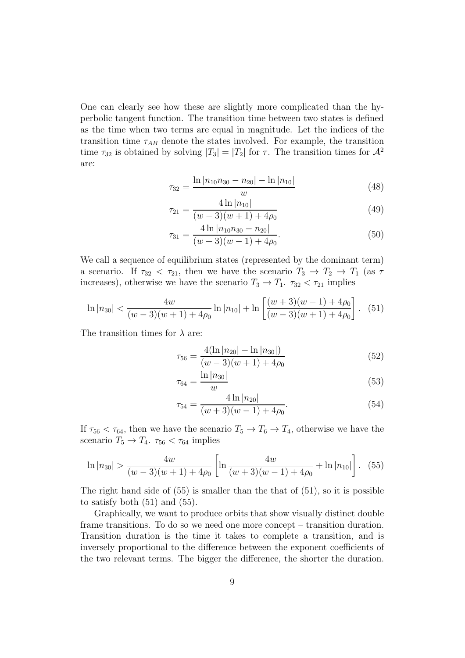One can clearly see how these are slightly more complicated than the hyperbolic tangent function. The transition time between two states is defined as the time when two terms are equal in magnitude. Let the indices of the transition time  $\tau_{AB}$  denote the states involved. For example, the transition time  $\tau_{32}$  is obtained by solving  $|T_3| = |T_2|$  for  $\tau$ . The transition times for  $\mathcal{A}^2$ are:

$$
\tau_{32} = \frac{\ln |n_{10}n_{30} - n_{20}| - \ln |n_{10}|}{w} \tag{48}
$$

$$
\tau_{21} = \frac{4 \ln |n_{10}|}{(w-3)(w+1) + 4\rho_0} \tag{49}
$$

$$
\tau_{31} = \frac{4 \ln |n_{10}n_{30} - n_{20}|}{(w+3)(w-1) + 4\rho_0}.
$$
\n(50)

We call a sequence of equilibrium states (represented by the dominant term) a scenario. If  $\tau_{32} < \tau_{21}$ , then we have the scenario  $T_3 \rightarrow T_2 \rightarrow T_1$  (as  $\tau$ ) increases), otherwise we have the scenario  $T_3 \to T_1$ .  $\tau_{32} < \tau_{21}$  implies

$$
\ln |n_{30}| < \frac{4w}{(w-3)(w+1)+4\rho_0} \ln |n_{10}| + \ln \left[ \frac{(w+3)(w-1)+4\rho_0}{(w-3)(w+1)+4\rho_0} \right]. \tag{51}
$$

The transition times for  $\lambda$  are:

$$
\tau_{56} = \frac{4(\ln |n_{20}| - \ln |n_{30}|)}{(w - 3)(w + 1) + 4\rho_0} \tag{52}
$$

$$
\tau_{64} = \frac{\ln |n_{30}|}{w} \tag{53}
$$

$$
\tau_{54} = \frac{4 \ln |n_{20}|}{(w+3)(w-1) + 4\rho_0}.\tag{54}
$$

If  $\tau_{56} < \tau_{64}$ , then we have the scenario  $T_5 \to T_6 \to T_4$ , otherwise we have the scenario  $T_5 \rightarrow T_4$ .  $\tau_{56} < \tau_{64}$  implies

$$
\ln |n_{30}| > \frac{4w}{(w-3)(w+1) + 4\rho_0} \left[ \ln \frac{4w}{(w+3)(w-1) + 4\rho_0} + \ln |n_{10}| \right]. \tag{55}
$$

The right hand side of  $(55)$  is smaller than the that of  $(51)$ , so it is possible to satisfy both (51) and (55).

Graphically, we want to produce orbits that show visually distinct double frame transitions. To do so we need one more concept – transition duration. Transition duration is the time it takes to complete a transition, and is inversely proportional to the difference between the exponent coefficients of the two relevant terms. The bigger the difference, the shorter the duration.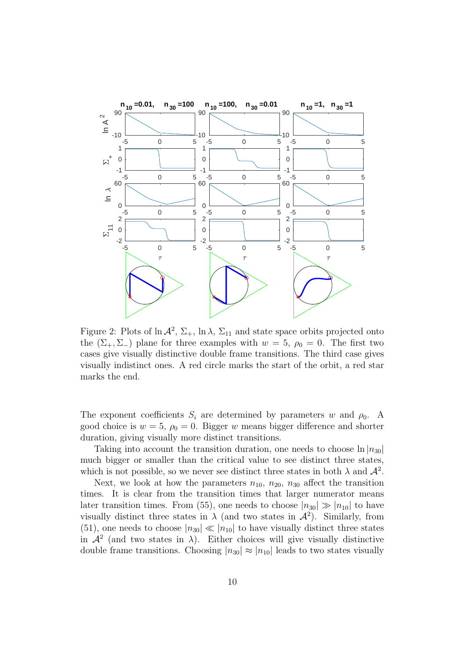

Figure 2: Plots of  $\ln A^2$ ,  $\Sigma_+$ ,  $\ln \lambda$ ,  $\Sigma_{11}$  and state space orbits projected onto the  $(\Sigma_{+}, \Sigma_{-})$  plane for three examples with  $w = 5$ ,  $\rho_0 = 0$ . The first two cases give visually distinctive double frame transitions. The third case gives visually indistinct ones. A red circle marks the start of the orbit, a red star marks the end.

The exponent coefficients  $S_i$  are determined by parameters w and  $\rho_0$ . A good choice is  $w = 5$ ,  $\rho_0 = 0$ . Bigger w means bigger difference and shorter duration, giving visually more distinct transitions.

Taking into account the transition duration, one needs to choose  $\ln |n_{30}|$ much bigger or smaller than the critical value to see distinct three states, which is not possible, so we never see distinct three states in both  $\lambda$  and  $\mathcal{A}^2$ .

Next, we look at how the parameters  $n_{10}$ ,  $n_{20}$ ,  $n_{30}$  affect the transition times. It is clear from the transition times that larger numerator means later transition times. From (55), one needs to choose  $|n_{30}| \gg |n_{10}|$  to have visually distinct three states in  $\lambda$  (and two states in  $\mathcal{A}^2$ ). Similarly, from (51), one needs to choose  $|n_{30}| \ll |n_{10}|$  to have visually distinct three states in  $\mathcal{A}^2$  (and two states in  $\lambda$ ). Either choices will give visually distinctive double frame transitions. Choosing  $|n_{30}| \approx |n_{10}|$  leads to two states visually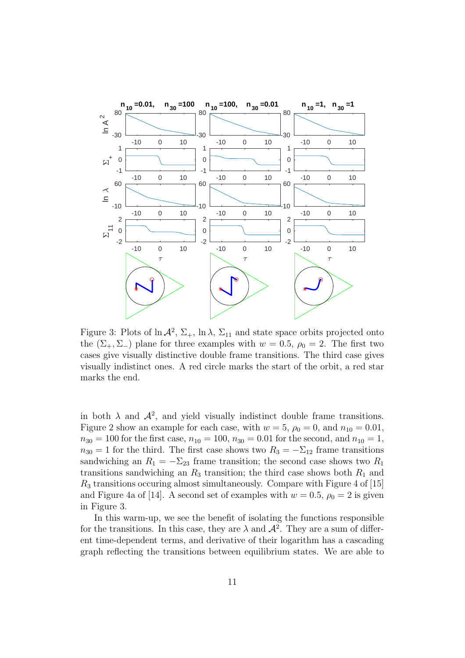

Figure 3: Plots of  $\ln A^2$ ,  $\Sigma_+$ ,  $\ln \lambda$ ,  $\Sigma_{11}$  and state space orbits projected onto the  $(\Sigma_{+}, \Sigma_{-})$  plane for three examples with  $w = 0.5$ ,  $\rho_0 = 2$ . The first two cases give visually distinctive double frame transitions. The third case gives visually indistinct ones. A red circle marks the start of the orbit, a red star marks the end.

in both  $\lambda$  and  $\mathcal{A}^2$ , and yield visually indistinct double frame transitions. Figure 2 show an example for each case, with  $w = 5$ ,  $\rho_0 = 0$ , and  $n_{10} = 0.01$ ,  $n_{30} = 100$  for the first case,  $n_{10} = 100$ ,  $n_{30} = 0.01$  for the second, and  $n_{10} = 1$ ,  $n_{30} = 1$  for the third. The first case shows two  $R_3 = -\Sigma_{12}$  frame transitions sandwiching an  $R_1 = -\Sigma_{23}$  frame transition; the second case shows two  $R_1$ transitions sandwiching an  $R_3$  transition; the third case shows both  $R_1$  and  $R_3$  transitions occuring almost simultaneously. Compare with Figure 4 of [15] and Figure 4a of [14]. A second set of examples with  $w = 0.5$ ,  $\rho_0 = 2$  is given in Figure 3.

In this warm-up, we see the benefit of isolating the functions responsible for the transitions. In this case, they are  $\lambda$  and  $\mathcal{A}^2$ . They are a sum of different time-dependent terms, and derivative of their logarithm has a cascading graph reflecting the transitions between equilibrium states. We are able to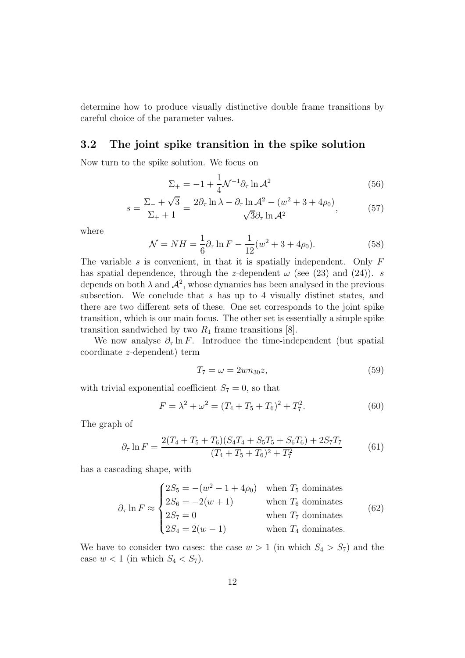determine how to produce visually distinctive double frame transitions by careful choice of the parameter values.

### 3.2 The joint spike transition in the spike solution

Now turn to the spike solution. We focus on

$$
\Sigma_{+} = -1 + \frac{1}{4} \mathcal{N}^{-1} \partial_{\tau} \ln \mathcal{A}^{2}
$$
 (56)

$$
s = \frac{\Sigma_- + \sqrt{3}}{\Sigma_+ + 1} = \frac{2\partial_\tau \ln \lambda - \partial_\tau \ln \mathcal{A}^2 - (w^2 + 3 + 4\rho_0)}{\sqrt{3}\partial_\tau \ln \mathcal{A}^2},\tag{57}
$$

where

$$
\mathcal{N} = NH = \frac{1}{6}\partial_{\tau}\ln F - \frac{1}{12}(w^2 + 3 + 4\rho_0). \tag{58}
$$

The variable s is convenient, in that it is spatially independent. Only  $F$ has spatial dependence, through the z-dependent  $\omega$  (see (23) and (24)). s depends on both  $\lambda$  and  $\mathcal{A}^2$ , whose dynamics has been analysed in the previous subsection. We conclude that s has up to 4 visually distinct states, and there are two different sets of these. One set corresponds to the joint spike transition, which is our main focus. The other set is essentially a simple spike transition sandwiched by two  $R_1$  frame transitions [8].

We now analyse  $\partial_{\tau} \ln F$ . Introduce the time-independent (but spatial coordinate z-dependent) term

$$
T_7 = \omega = 2wn_{30}z,\tag{59}
$$

with trivial exponential coefficient  $S_7 = 0$ , so that

$$
F = \lambda^2 + \omega^2 = (T_4 + T_5 + T_6)^2 + T_7^2.
$$
 (60)

The graph of

$$
\partial_{\tau} \ln F = \frac{2(T_4 + T_5 + T_6)(S_4 T_4 + S_5 T_5 + S_6 T_6) + 2S_7 T_7}{(T_4 + T_5 + T_6)^2 + T_7^2} \tag{61}
$$

has a cascading shape, with

$$
\partial_{\tau} \ln F \approx \begin{cases}\n2S_5 = -(w^2 - 1 + 4\rho_0) & \text{when } T_5 \text{ dominates} \\
2S_6 = -2(w+1) & \text{when } T_6 \text{ dominates} \\
2S_7 = 0 & \text{when } T_7 \text{ dominates} \\
2S_4 = 2(w-1) & \text{when } T_4 \text{ dominates}\n\end{cases}
$$
\n(62)

We have to consider two cases: the case  $w > 1$  (in which  $S_4 > S_7$ ) and the case  $w < 1$  (in which  $S_4 < S_7$ ).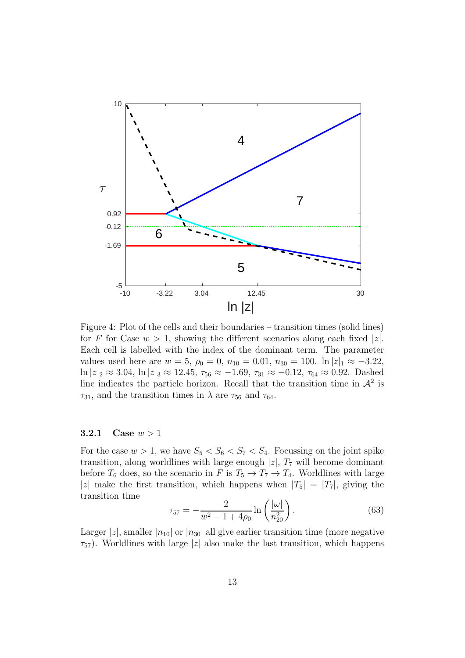

Figure 4: Plot of the cells and their boundaries – transition times (solid lines) for F for Case  $w > 1$ , showing the different scenarios along each fixed |z|. Each cell is labelled with the index of the dominant term. The parameter values used here are  $w = 5$ ,  $\rho_0 = 0$ ,  $n_{10} = 0.01$ ,  $n_{30} = 100$ .  $\ln |z|_1 \approx -3.22$ ,  $\ln |z|_2 \approx 3.04$ ,  $\ln |z|_3 \approx 12.45$ ,  $\tau_{56} \approx -1.69$ ,  $\tau_{31} \approx -0.12$ ,  $\tau_{64} \approx 0.92$ . Dashed line indicates the particle horizon. Recall that the transition time in  $\mathcal{A}^2$  is  $\tau_{31}$ , and the transition times in  $\lambda$  are  $\tau_{56}$  and  $\tau_{64}$ .

#### 3.2.1 Case  $w > 1$

For the case  $w > 1$ , we have  $S_5 < S_6 < S_7 < S_4$ . Focussing on the joint spike transition, along worldlines with large enough  $|z|$ ,  $T_7$  will become dominant before  $T_6$  does, so the scenario in F is  $T_5 \rightarrow T_7 \rightarrow T_4$ . Worldlines with large |z| make the first transition, which happens when  $|T_5| = |T_7|$ , giving the transition time

$$
\tau_{57} = -\frac{2}{w^2 - 1 + 4\rho_0} \ln\left(\frac{|\omega|}{n_{20}^2}\right).
$$
 (63)

Larger |z|, smaller  $|n_{10}|$  or  $|n_{30}|$  all give earlier transition time (more negative  $\tau_{57}$ ). Worldlines with large |z| also make the last transition, which happens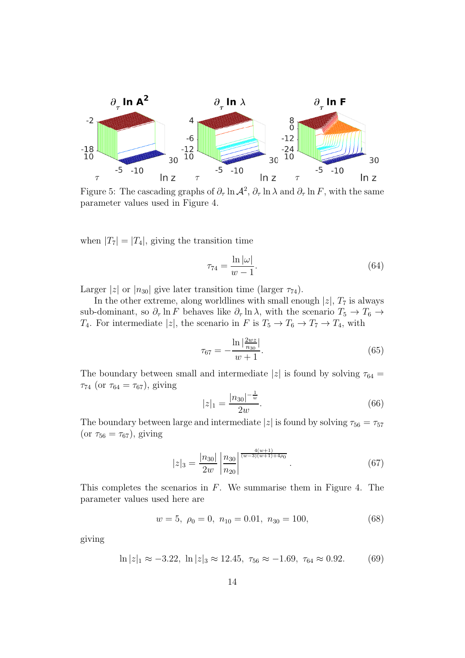

Figure 5: The cascading graphs of  $\partial_{\tau} \ln A^2$ ,  $\partial_{\tau} \ln \lambda$  and  $\partial_{\tau} \ln F$ , with the same parameter values used in Figure 4.

when  $|T_7| = |T_4|$ , giving the transition time

$$
\tau_{74} = \frac{\ln |\omega|}{w - 1}.
$$
\n(64)

Larger |z| or  $|n_{30}|$  give later transition time (larger  $\tau_{74}$ ).

In the other extreme, along worldlines with small enough  $|z|$ ,  $T_7$  is always sub-dominant, so  $\partial_{\tau}$  ln F behaves like  $\partial_{\tau}$  ln  $\lambda$ , with the scenario  $T_5 \to T_6 \to$  $T_4$ . For intermediate |z|, the scenario in F is  $T_5 \to T_6 \to T_7 \to T_4$ , with

$$
\tau_{67} = -\frac{\ln|\frac{2wz}{n_{30}}|}{w+1}.\tag{65}
$$

The boundary between small and intermediate |z| is found by solving  $\tau_{64}$  =  $\tau_{74}$  (or  $\tau_{64} = \tau_{67}$ ), giving

$$
|z|_1 = \frac{|n_{30}|^{-\frac{1}{w}}}{2w}.\tag{66}
$$

The boundary between large and intermediate  $|z|$  is found by solving  $\tau_{56}=\tau_{57}$ (or  $\tau_{56} = \tau_{67}$ ), giving

$$
|z|_3 = \frac{|n_{30}|}{2w} \left| \frac{n_{30}}{n_{20}} \right|^{\frac{4(w+1)}{(w-3)(w+1)+4\rho_0}}.
$$
 (67)

This completes the scenarios in  $F$ . We summarise them in Figure 4. The parameter values used here are

$$
w = 5, \ \rho_0 = 0, \ n_{10} = 0.01, \ n_{30} = 100,\tag{68}
$$

giving

$$
\ln|z|_1 \approx -3.22, \ \ln|z|_3 \approx 12.45, \ \tau_{56} \approx -1.69, \ \tau_{64} \approx 0.92. \tag{69}
$$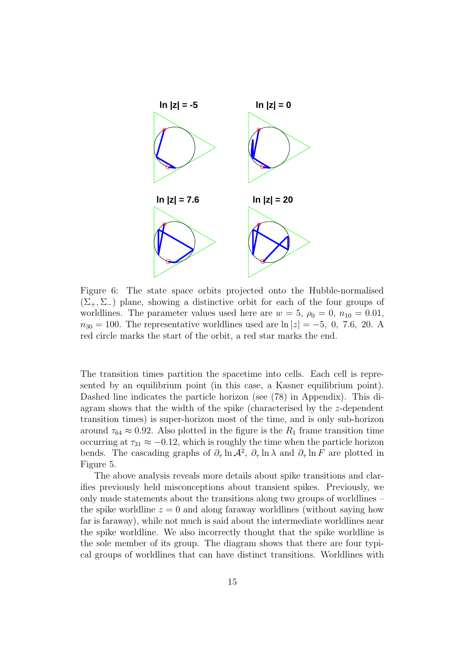

Figure 6: The state space orbits projected onto the Hubble-normalised  $(\Sigma_{+}, \Sigma_{-})$  plane, showing a distinctive orbit for each of the four groups of worldlines. The parameter values used here are  $w = 5$ ,  $\rho_0 = 0$ ,  $n_{10} = 0.01$ ,  $n_{30} = 100$ . The representative worldlines used are  $\ln |z| = -5$ , 0, 7.6, 20. A red circle marks the start of the orbit, a red star marks the end.

The transition times partition the spacetime into cells. Each cell is represented by an equilibrium point (in this case, a Kasner equilibrium point). Dashed line indicates the particle horizon (see (78) in Appendix). This diagram shows that the width of the spike (characterised by the z-dependent transition times) is super-horizon most of the time, and is only sub-horizon around  $\tau_{64} \approx 0.92$ . Also plotted in the figure is the  $R_1$  frame transition time occurring at  $\tau_{31} \approx -0.12$ , which is roughly the time when the particle horizon bends. The cascading graphs of  $\partial_{\tau} \ln A^2$ ,  $\partial_{\tau} \ln \lambda$  and  $\partial_{\tau} \ln F$  are plotted in Figure 5.

The above analysis reveals more details about spike transitions and clarifies previously held misconceptions about transient spikes. Previously, we only made statements about the transitions along two groups of worldlines – the spike worldline  $z = 0$  and along faraway worldlines (without saying how far is faraway), while not much is said about the intermediate worldlines near the spike worldline. We also incorrectly thought that the spike worldline is the sole member of its group. The diagram shows that there are four typical groups of worldlines that can have distinct transitions. Worldlines with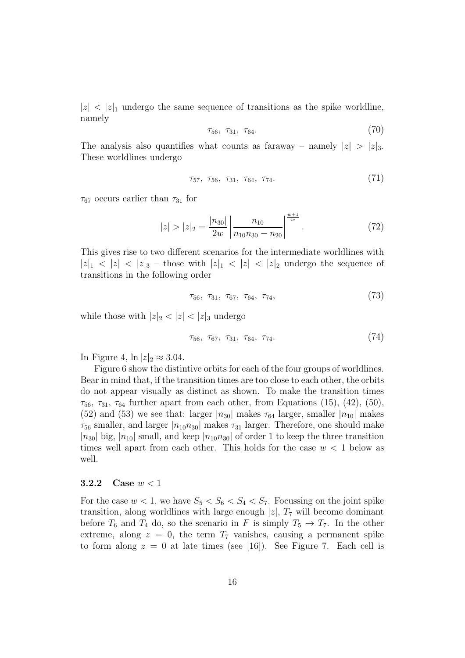$|z| < |z|_1$  undergo the same sequence of transitions as the spike worldline, namely

$$
\tau_{56}, \ \tau_{31}, \ \tau_{64}.\tag{70}
$$

The analysis also quantifies what counts as faraway – namely  $|z| > |z|_3$ . These worldlines undergo

$$
\tau_{57}, \ \tau_{56}, \ \tau_{31}, \ \tau_{64}, \ \tau_{74}.\tag{71}
$$

 $\tau_{67}$  occurs earlier than  $\tau_{31}$  for

$$
|z| > |z|_2 = \frac{|n_{30}|}{2w} \left| \frac{n_{10}}{n_{10}n_{30} - n_{20}} \right|^{\frac{w+1}{w}}.
$$
 (72)

This gives rise to two different scenarios for the intermediate worldlines with  $|z|_1 < |z| < |z|_3$  – those with  $|z|_1 < |z| < |z|_2$  undergo the sequence of transitions in the following order

$$
\tau_{56}, \tau_{31}, \tau_{67}, \tau_{64}, \tau_{74}, \tag{73}
$$

while those with  $|z|_2 < |z| < |z|_3$  undergo

$$
\tau_{56}, \tau_{67}, \tau_{31}, \tau_{64}, \tau_{74}.\tag{74}
$$

In Figure 4,  $\ln |z|_2 \approx 3.04$ .

Figure 6 show the distintive orbits for each of the four groups of worldlines. Bear in mind that, if the transition times are too close to each other, the orbits do not appear visually as distinct as shown. To make the transition times  $\tau_{56}$ ,  $\tau_{31}$ ,  $\tau_{64}$  further apart from each other, from Equations (15), (42), (50), (52) and (53) we see that: larger  $|n_{30}|$  makes  $\tau_{64}$  larger, smaller  $|n_{10}|$  makes  $\tau_{56}$  smaller, and larger  $|n_{10}n_{30}|$  makes  $\tau_{31}$  larger. Therefore, one should make  $|n_{30}|$  big,  $|n_{10}|$  small, and keep  $|n_{10}n_{30}|$  of order 1 to keep the three transition times well apart from each other. This holds for the case  $w < 1$  below as well.

### 3.2.2 Case  $w < 1$

For the case  $w < 1$ , we have  $S_5 < S_6 < S_4 < S_7$ . Focussing on the joint spike transition, along worldlines with large enough  $|z|$ ,  $T_7$  will become dominant before  $T_6$  and  $T_4$  do, so the scenario in F is simply  $T_5 \rightarrow T_7$ . In the other extreme, along  $z = 0$ , the term  $T<sub>7</sub>$  vanishes, causing a permanent spike to form along  $z = 0$  at late times (see [16]). See Figure 7. Each cell is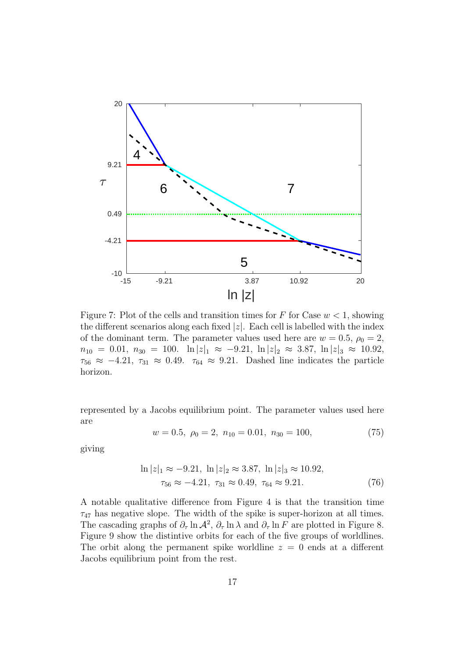

Figure 7: Plot of the cells and transition times for F for Case  $w < 1$ , showing the different scenarios along each fixed  $|z|$ . Each cell is labelled with the index of the dominant term. The parameter values used here are  $w = 0.5$ ,  $\rho_0 = 2$ ,  $n_{10} = 0.01, n_{30} = 100.$   $\ln |z|_1 \approx -9.21, \ln |z|_2 \approx 3.87, \ln |z|_3 \approx 10.92,$  $\tau_{56} \approx -4.21$ ,  $\tau_{31} \approx 0.49$ .  $\tau_{64} \approx 9.21$ . Dashed line indicates the particle horizon.

represented by a Jacobs equilibrium point. The parameter values used here are

$$
w = 0.5, \ \rho_0 = 2, \ n_{10} = 0.01, \ n_{30} = 100,\tag{75}
$$

giving

$$
\ln |z|_1 \approx -9.21, \ln |z|_2 \approx 3.87, \ln |z|_3 \approx 10.92, \tau_{56} \approx -4.21, \tau_{31} \approx 0.49, \tau_{64} \approx 9.21.
$$
\n(76)

A notable qualitative difference from Figure 4 is that the transition time  $\tau_{47}$  has negative slope. The width of the spike is super-horizon at all times. The cascading graphs of  $\partial_{\tau} \ln A^2$ ,  $\partial_{\tau} \ln \lambda$  and  $\partial_{\tau} \ln F$  are plotted in Figure 8. Figure 9 show the distintive orbits for each of the five groups of worldlines. The orbit along the permanent spike worldline  $z = 0$  ends at a different Jacobs equilibrium point from the rest.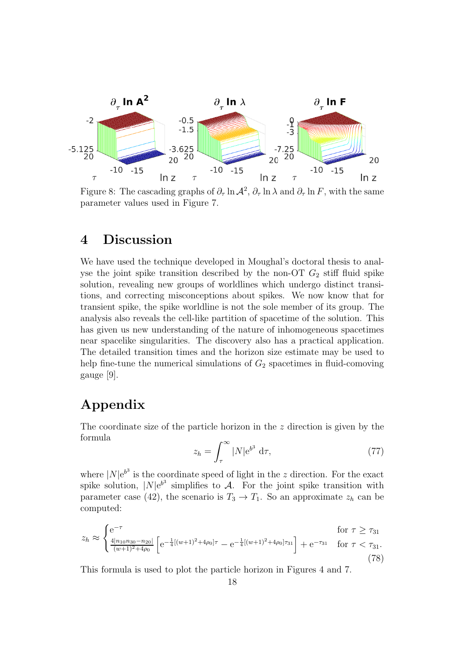

Figure 8: The cascading graphs of  $\partial_{\tau} \ln A^2$ ,  $\partial_{\tau} \ln \lambda$  and  $\partial_{\tau} \ln F$ , with the same parameter values used in Figure 7.

### 4 Discussion

We have used the technique developed in Moughal's doctoral thesis to analyse the joint spike transition described by the non-OT  $G_2$  stiff fluid spike solution, revealing new groups of worldlines which undergo distinct transitions, and correcting misconceptions about spikes. We now know that for transient spike, the spike worldline is not the sole member of its group. The analysis also reveals the cell-like partition of spacetime of the solution. This has given us new understanding of the nature of inhomogeneous spacetimes near spacelike singularities. The discovery also has a practical application. The detailed transition times and the horizon size estimate may be used to help fine-tune the numerical simulations of  $G_2$  spacetimes in fluid-comoving gauge [9].

# Appendix

The coordinate size of the particle horizon in the  $z$  direction is given by the formula

$$
z_h = \int_{\tau}^{\infty} |N| e^{b^3} d\tau,
$$
 (77)

where  $|N|e^{b^3}$  is the coordinate speed of light in the z direction. For the exact spike solution,  $|N|e^{b^3}$  simplifies to A. For the joint spike transition with parameter case (42), the scenario is  $T_3 \to T_1$ . So an approximate  $z_h$  can be computed:

$$
z_h \approx \begin{cases} e^{-\tau} & \text{for } \tau \ge \tau_{31} \\ \frac{4|n_{10}n_{30} - n_{20}|}{(w+1)^2 + 4\rho_0} \left[ e^{-\frac{1}{4}[(w+1)^2 + 4\rho_0]\tau} - e^{-\frac{1}{4}[(w+1)^2 + 4\rho_0]\tau_{31}} \right] + e^{-\tau_{31}} & \text{for } \tau < \tau_{31}. \end{cases}
$$
(78)

This formula is used to plot the particle horizon in Figures 4 and 7.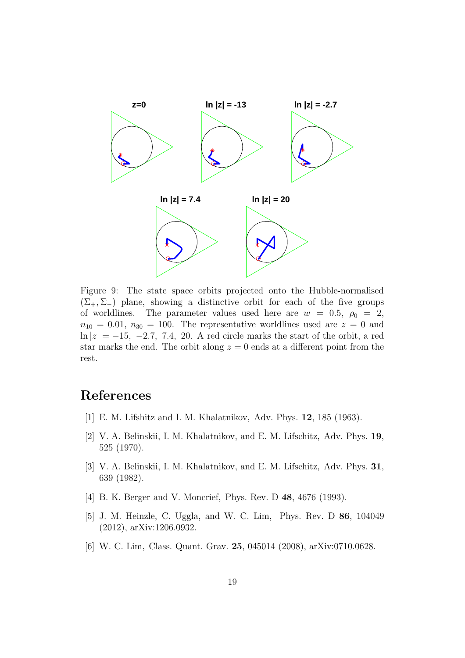

Figure 9: The state space orbits projected onto the Hubble-normalised  $(\Sigma_{+}, \Sigma_{-})$  plane, showing a distinctive orbit for each of the five groups of worldlines. The parameter values used here are  $w = 0.5$ ,  $\rho_0 = 2$ ,  $n_{10} = 0.01, n_{30} = 100$ . The representative worldlines used are  $z = 0$  and  $\ln|z| = -15$ ,  $-2.7$ , 7.4, 20. A red circle marks the start of the orbit, a red star marks the end. The orbit along  $z = 0$  ends at a different point from the rest.

# References

- [1] E. M. Lifshitz and I. M. Khalatnikov, Adv. Phys. 12, 185 (1963).
- [2] V. A. Belinskii, I. M. Khalatnikov, and E. M. Lifschitz, Adv. Phys. 19, 525 (1970).
- [3] V. A. Belinskii, I. M. Khalatnikov, and E. M. Lifschitz, Adv. Phys. 31, 639 (1982).
- [4] B. K. Berger and V. Moncrief, Phys. Rev. D 48, 4676 (1993).
- [5] J. M. Heinzle, C. Uggla, and W. C. Lim, Phys. Rev. D 86, 104049 (2012), arXiv:1206.0932.
- [6] W. C. Lim, Class. Quant. Grav. 25, 045014 (2008), arXiv:0710.0628.